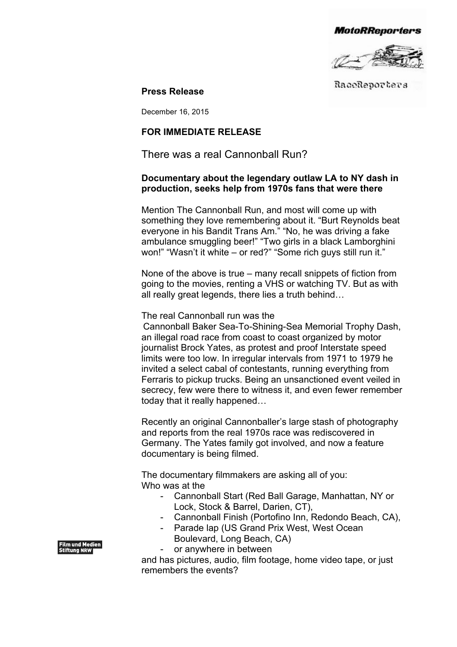**MotoRReporters** 



RaceReporters

**Press Release**

December 16, 2015

## **FOR IMMEDIATE RELEASE**

There was a real Cannonball Run?

## **Documentary about the legendary outlaw LA to NY dash in production, seeks help from 1970s fans that were there**

Mention The Cannonball Run, and most will come up with something they love remembering about it. "Burt Reynolds beat everyone in his Bandit Trans Am." "No, he was driving a fake ambulance smuggling beer!" "Two girls in a black Lamborghini won!" "Wasn't it white – or red?" "Some rich guys still run it."

None of the above is true – many recall snippets of fiction from going to the movies, renting a VHS or watching TV. But as with all really great legends, there lies a truth behind…

The real Cannonball run was the

Cannonball Baker Sea-To-Shining-Sea Memorial Trophy Dash, an illegal road race from coast to coast organized by motor journalist Brock Yates, as protest and proof Interstate speed limits were too low. In irregular intervals from 1971 to 1979 he invited a select cabal of contestants, running everything from Ferraris to pickup trucks. Being an unsanctioned event veiled in secrecy, few were there to witness it, and even fewer remember today that it really happened…

Recently an original Cannonballer's large stash of photography and reports from the real 1970s race was rediscovered in Germany. The Yates family got involved, and now a feature documentary is being filmed.

The documentary filmmakers are asking all of you: Who was at the

- Cannonball Start (Red Ball Garage, Manhattan, NY or Lock, Stock & Barrel, Darien, CT),
- Cannonball Finish (Portofino Inn, Redondo Beach, CA),
- Parade lap (US Grand Prix West, West Ocean Boulevard, Long Beach, CA)
- or anywhere in between

and has pictures, audio, film footage, home video tape, or just remembers the events?